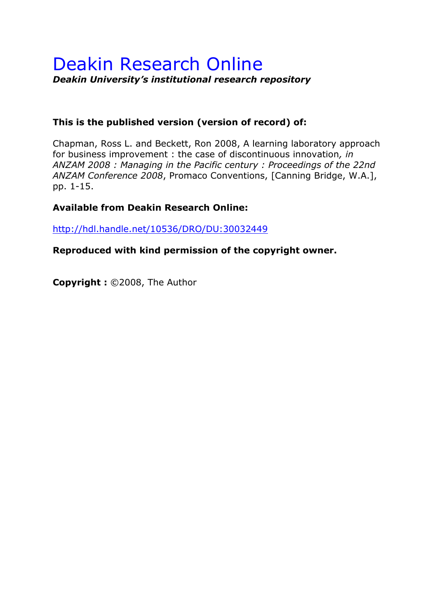# Deakin Research Online *Deakin University's institutional research repository*

# **This is the published version (version of record) of:**

Chapman, Ross L. and Beckett, Ron 2008, A learning laboratory approach for business improvement : the case of discontinuous innovation*, in ANZAM 2008 : Managing in the Pacific century : Proceedings of the 22nd ANZAM Conference 2008*, Promaco Conventions, [Canning Bridge, W.A.], pp. 1-15.

# **Available from Deakin Research Online:**

<http://hdl.handle.net/10536/DRO/DU:30032449>

**Reproduced with kind permission of the copyright owner.**

**Copyright :** ©2008, The Author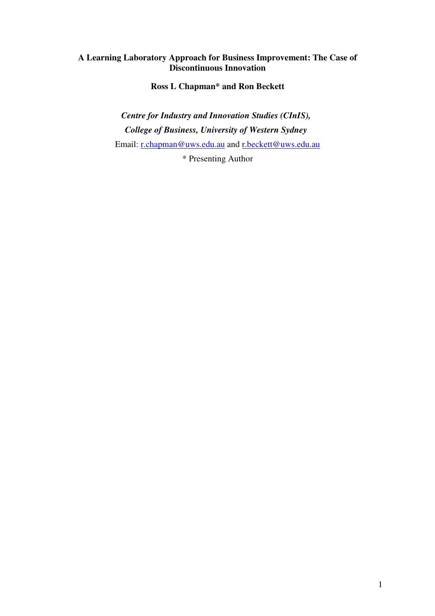# **A Learning Laboratory Approach for Business Improvement: The Case of Discontinuous Innovation**

**Ross L Chapman\* and Ron Beckett** 

*Centre for Industry and Innovation Studies (CInIS), College of Business, University of Western Sydney*  Email: [r.chapman@uws.edu.au](mailto:r.chapman@uws.edu.au) and [r.beckett@uws.edu.au](mailto:r.beckett@uws.edu.au)

\* Presenting Author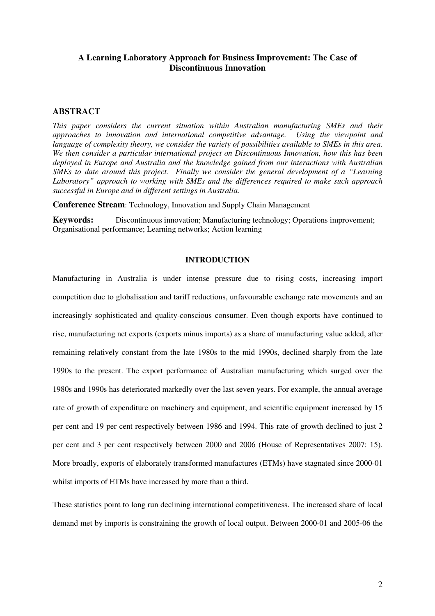# **A Learning Laboratory Approach for Business Improvement: The Case of Discontinuous Innovation**

# **ABSTRACT**

*This paper considers the current situation within Australian manufacturing SMEs and their approaches to innovation and international competitive advantage. Using the viewpoint and language of complexity theory, we consider the variety of possibilities available to SMEs in this area. We then consider a particular international project on Discontinuous Innovation, how this has been deployed in Europe and Australia and the knowledge gained from our interactions with Australian SMEs to date around this project. Finally we consider the general development of a "Learning Laboratory" approach to working with SMEs and the differences required to make such approach successful in Europe and in different settings in Australia.* 

**Conference Stream**: Technology, Innovation and Supply Chain Management

**Keywords:** Discontinuous innovation; Manufacturing technology; Operations improvement; Organisational performance; Learning networks; Action learning

# **INTRODUCTION**

Manufacturing in Australia is under intense pressure due to rising costs, increasing import competition due to globalisation and tariff reductions, unfavourable exchange rate movements and an increasingly sophisticated and quality-conscious consumer. Even though exports have continued to rise, manufacturing net exports (exports minus imports) as a share of manufacturing value added, after remaining relatively constant from the late 1980s to the mid 1990s, declined sharply from the late 1990s to the present. The export performance of Australian manufacturing which surged over the 1980s and 1990s has deteriorated markedly over the last seven years. For example, the annual average rate of growth of expenditure on machinery and equipment, and scientific equipment increased by 15 per cent and 19 per cent respectively between 1986 and 1994. This rate of growth declined to just 2 per cent and 3 per cent respectively between 2000 and 2006 (House of Representatives 2007: 15). More broadly, exports of elaborately transformed manufactures (ETMs) have stagnated since 2000-01 whilst imports of ETMs have increased by more than a third.

These statistics point to long run declining international competitiveness. The increased share of local demand met by imports is constraining the growth of local output. Between 2000-01 and 2005-06 the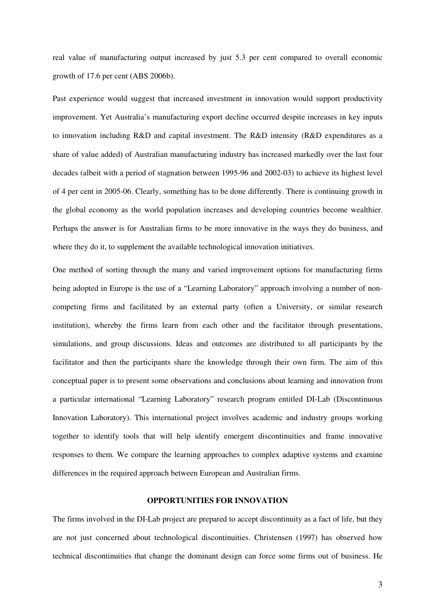real value of manufacturing output increased by just 5.3 per cent compared to overall economic growth of 17.6 per cent (ABS 2006b).

Past experience would suggest that increased investment in innovation would support productivity improvement. Yet Australia's manufacturing export decline occurred despite increases in key inputs to innovation including R&D and capital investment. The R&D intensity (R&D expenditures as a share of value added) of Australian manufacturing industry has increased markedly over the last four decades (albeit with a period of stagnation between 1995-96 and 2002-03) to achieve its highest level of 4 per cent in 2005-06. Clearly, something has to be done differently. There is continuing growth in the global economy as the world population increases and developing countries become wealthier. Perhaps the answer is for Australian firms to be more innovative in the ways they do business, and where they do it, to supplement the available technological innovation initiatives.

One method of sorting through the many and varied improvement options for manufacturing firms being adopted in Europe is the use of a "Learning Laboratory" approach involving a number of noncompeting firms and facilitated by an external party (often a University, or similar research institution), whereby the firms learn from each other and the facilitator through presentations, simulations, and group discussions. Ideas and outcomes are distributed to all participants by the facilitator and then the participants share the knowledge through their own firm. The aim of this conceptual paper is to present some observations and conclusions about learning and innovation from a particular international "Learning Laboratory" research program entitled DI-Lab (Discontinuous Innovation Laboratory). This international project involves academic and industry groups working together to identify tools that will help identify emergent discontinuities and frame innovative responses to them. We compare the learning approaches to complex adaptive systems and examine differences in the required approach between European and Australian firms.

## **OPPORTUNITIES FOR INNOVATION**

The firms involved in the DI-Lab project are prepared to accept discontinuity as a fact of life, but they are not just concerned about technological discontinuities. Christensen (1997) has observed how technical discontinuities that change the dominant design can force some firms out of business. He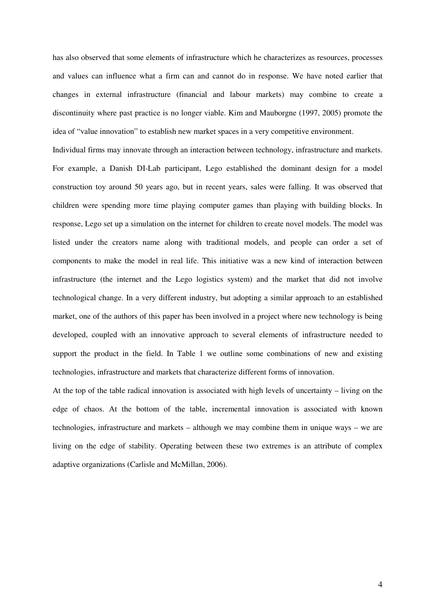has also observed that some elements of infrastructure which he characterizes as resources, processes and values can influence what a firm can and cannot do in response. We have noted earlier that changes in external infrastructure (financial and labour markets) may combine to create a discontinuity where past practice is no longer viable. Kim and Mauborgne (1997, 2005) promote the idea of "value innovation" to establish new market spaces in a very competitive environment.

Individual firms may innovate through an interaction between technology, infrastructure and markets. For example, a Danish DI-Lab participant, Lego established the dominant design for a model construction toy around 50 years ago, but in recent years, sales were falling. It was observed that children were spending more time playing computer games than playing with building blocks. In response, Lego set up a simulation on the internet for children to create novel models. The model was listed under the creators name along with traditional models, and people can order a set of components to make the model in real life. This initiative was a new kind of interaction between infrastructure (the internet and the Lego logistics system) and the market that did not involve technological change. In a very different industry, but adopting a similar approach to an established market, one of the authors of this paper has been involved in a project where new technology is being developed, coupled with an innovative approach to several elements of infrastructure needed to support the product in the field. In Table 1 we outline some combinations of new and existing technologies, infrastructure and markets that characterize different forms of innovation.

At the top of the table radical innovation is associated with high levels of uncertainty – living on the edge of chaos. At the bottom of the table, incremental innovation is associated with known technologies, infrastructure and markets – although we may combine them in unique ways – we are living on the edge of stability. Operating between these two extremes is an attribute of complex adaptive organizations (Carlisle and McMillan, 2006).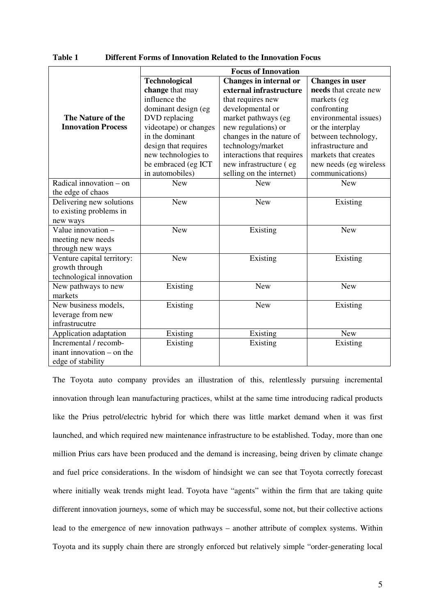| Table 1 | Different Forms of Innovation Related to the Innovation Focus |
|---------|---------------------------------------------------------------|
|---------|---------------------------------------------------------------|

|                            | <b>Focus of Innovation</b> |                            |                        |  |
|----------------------------|----------------------------|----------------------------|------------------------|--|
|                            | Technological              | Changes in internal or     | <b>Changes in user</b> |  |
|                            | change that may            | external infrastructure    | needs that create new  |  |
|                            | influence the              | that requires new          | markets (eg            |  |
|                            | dominant design (eg        | developmental or           | confronting            |  |
| The Nature of the          | DVD replacing              | market pathways (eg        | environmental issues)  |  |
| <b>Innovation Process</b>  | videotape) or changes      | new regulations) or        | or the interplay       |  |
|                            | in the dominant            | changes in the nature of   | between technology,    |  |
|                            | design that requires       | technology/market          | infrastructure and     |  |
|                            | new technologies to        | interactions that requires | markets that creates   |  |
|                            | be embraced (eg ICT        | new infrastructure (eg     | new needs (eg wireless |  |
|                            | in automobiles)            | selling on the internet)   | communications)        |  |
| Radical innovation $-$ on  | <b>New</b>                 | <b>New</b>                 | <b>New</b>             |  |
| the edge of chaos          |                            |                            |                        |  |
| Delivering new solutions   | <b>New</b>                 | New                        | Existing               |  |
| to existing problems in    |                            |                            |                        |  |
| new ways                   |                            |                            |                        |  |
| Value innovation -         | <b>New</b>                 | Existing                   | <b>New</b>             |  |
| meeting new needs          |                            |                            |                        |  |
| through new ways           |                            |                            |                        |  |
| Venture capital territory: | <b>New</b>                 | Existing                   | Existing               |  |
| growth through             |                            |                            |                        |  |
| technological innovation   |                            |                            |                        |  |
| New pathways to new        | Existing                   | <b>New</b>                 | <b>New</b>             |  |
| markets                    |                            |                            |                        |  |
| New business models,       | Existing                   | <b>New</b>                 | Existing               |  |
| leverage from new          |                            |                            |                        |  |
| infrastrucutre             |                            |                            |                        |  |
| Application adaptation     | Existing                   | Existing                   | <b>New</b>             |  |
| Incremental / recomb-      | Existing                   | Existing                   | Existing               |  |
| inant innovation – on the  |                            |                            |                        |  |
| edge of stability          |                            |                            |                        |  |

The Toyota auto company provides an illustration of this, relentlessly pursuing incremental innovation through lean manufacturing practices, whilst at the same time introducing radical products like the Prius petrol/electric hybrid for which there was little market demand when it was first launched, and which required new maintenance infrastructure to be established. Today, more than one million Prius cars have been produced and the demand is increasing, being driven by climate change and fuel price considerations. In the wisdom of hindsight we can see that Toyota correctly forecast where initially weak trends might lead. Toyota have "agents" within the firm that are taking quite different innovation journeys, some of which may be successful, some not, but their collective actions lead to the emergence of new innovation pathways – another attribute of complex systems. Within Toyota and its supply chain there are strongly enforced but relatively simple "order-generating local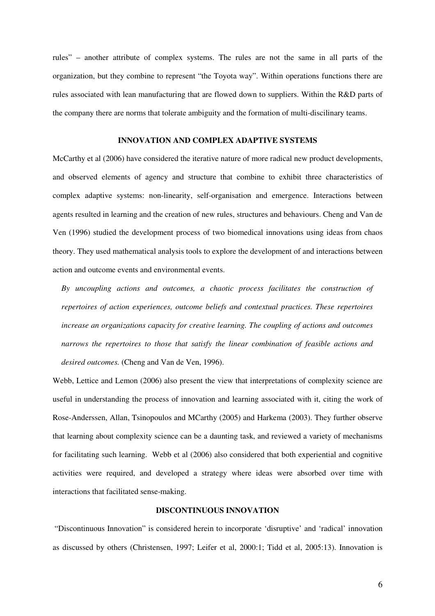rules" – another attribute of complex systems. The rules are not the same in all parts of the organization, but they combine to represent "the Toyota way". Within operations functions there are rules associated with lean manufacturing that are flowed down to suppliers. Within the R&D parts of the company there are norms that tolerate ambiguity and the formation of multi-discilinary teams.

# **INNOVATION AND COMPLEX ADAPTIVE SYSTEMS**

McCarthy et al (2006) have considered the iterative nature of more radical new product developments, and observed elements of agency and structure that combine to exhibit three characteristics of complex adaptive systems: non-linearity, self-organisation and emergence. Interactions between agents resulted in learning and the creation of new rules, structures and behaviours. Cheng and Van de Ven (1996) studied the development process of two biomedical innovations using ideas from chaos theory. They used mathematical analysis tools to explore the development of and interactions between action and outcome events and environmental events.

*By uncoupling actions and outcomes, a chaotic process facilitates the construction of repertoires of action experiences, outcome beliefs and contextual practices. These repertoires increase an organizations capacity for creative learning. The coupling of actions and outcomes narrows the repertoires to those that satisfy the linear combination of feasible actions and desired outcomes.* (Cheng and Van de Ven, 1996).

Webb, Lettice and Lemon (2006) also present the view that interpretations of complexity science are useful in understanding the process of innovation and learning associated with it, citing the work of Rose-Anderssen, Allan, Tsinopoulos and MCarthy (2005) and Harkema (2003). They further observe that learning about complexity science can be a daunting task, and reviewed a variety of mechanisms for facilitating such learning. Webb et al (2006) also considered that both experiential and cognitive activities were required, and developed a strategy where ideas were absorbed over time with interactions that facilitated sense-making.

## **DISCONTINUOUS INNOVATION**

 "Discontinuous Innovation" is considered herein to incorporate 'disruptive' and 'radical' innovation as discussed by others (Christensen, 1997; Leifer et al, 2000:1; Tidd et al, 2005:13). Innovation is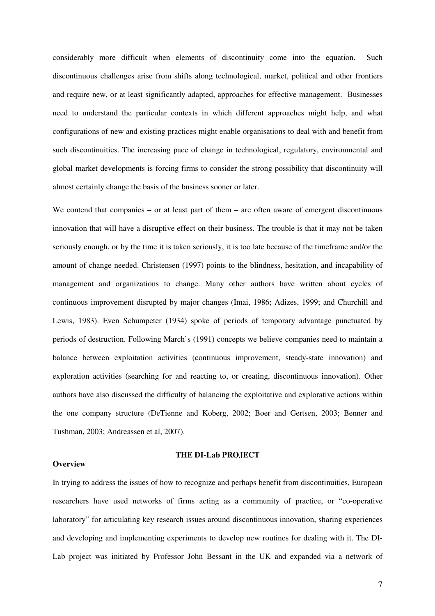considerably more difficult when elements of discontinuity come into the equation. Such discontinuous challenges arise from shifts along technological, market, political and other frontiers and require new, or at least significantly adapted, approaches for effective management. Businesses need to understand the particular contexts in which different approaches might help, and what configurations of new and existing practices might enable organisations to deal with and benefit from such discontinuities. The increasing pace of change in technological, regulatory, environmental and global market developments is forcing firms to consider the strong possibility that discontinuity will almost certainly change the basis of the business sooner or later.

We contend that companies – or at least part of them – are often aware of emergent discontinuous innovation that will have a disruptive effect on their business. The trouble is that it may not be taken seriously enough, or by the time it is taken seriously, it is too late because of the timeframe and/or the amount of change needed. Christensen (1997) points to the blindness, hesitation, and incapability of management and organizations to change. Many other authors have written about cycles of continuous improvement disrupted by major changes (Imai, 1986; Adizes, 1999; and Churchill and Lewis, 1983). Even Schumpeter (1934) spoke of periods of temporary advantage punctuated by periods of destruction. Following March's (1991) concepts we believe companies need to maintain a balance between exploitation activities (continuous improvement, steady-state innovation) and exploration activities (searching for and reacting to, or creating, discontinuous innovation). Other authors have also discussed the difficulty of balancing the exploitative and explorative actions within the one company structure (DeTienne and Koberg, 2002; Boer and Gertsen, 2003; Benner and Tushman, 2003; Andreassen et al, 2007).

#### **Overview**

## **THE DI-Lab PROJECT**

In trying to address the issues of how to recognize and perhaps benefit from discontinuities, European researchers have used networks of firms acting as a community of practice, or "co-operative laboratory" for articulating key research issues around discontinuous innovation, sharing experiences and developing and implementing experiments to develop new routines for dealing with it. The DI-Lab project was initiated by Professor John Bessant in the UK and expanded via a network of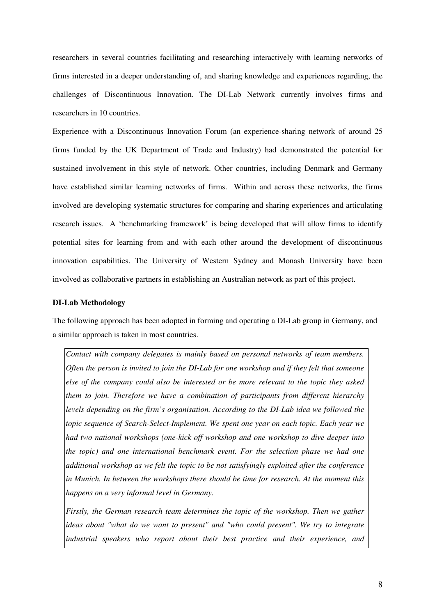researchers in several countries facilitating and researching interactively with learning networks of firms interested in a deeper understanding of, and sharing knowledge and experiences regarding, the challenges of Discontinuous Innovation. The DI-Lab Network currently involves firms and researchers in 10 countries.

Experience with a Discontinuous Innovation Forum (an experience-sharing network of around 25 firms funded by the UK Department of Trade and Industry) had demonstrated the potential for sustained involvement in this style of network. Other countries, including Denmark and Germany have established similar learning networks of firms. Within and across these networks, the firms involved are developing systematic structures for comparing and sharing experiences and articulating research issues. A 'benchmarking framework' is being developed that will allow firms to identify potential sites for learning from and with each other around the development of discontinuous innovation capabilities. The University of Western Sydney and Monash University have been involved as collaborative partners in establishing an Australian network as part of this project.

#### **DI-Lab Methodology**

The following approach has been adopted in forming and operating a DI-Lab group in Germany, and a similar approach is taken in most countries.

*Contact with company delegates is mainly based on personal networks of team members. Often the person is invited to join the DI-Lab for one workshop and if they felt that someone else of the company could also be interested or be more relevant to the topic they asked them to join. Therefore we have a combination of participants from different hierarchy levels depending on the firm's organisation. According to the DI-Lab idea we followed the topic sequence of Search-Select-Implement. We spent one year on each topic. Each year we had two national workshops (one-kick off workshop and one workshop to dive deeper into the topic) and one international benchmark event. For the selection phase we had one additional workshop as we felt the topic to be not satisfyingly exploited after the conference in Munich. In between the workshops there should be time for research. At the moment this happens on a very informal level in Germany.*

*Firstly, the German research team determines the topic of the workshop. Then we gather ideas about "what do we want to present" and "who could present". We try to integrate industrial speakers who report about their best practice and their experience, and*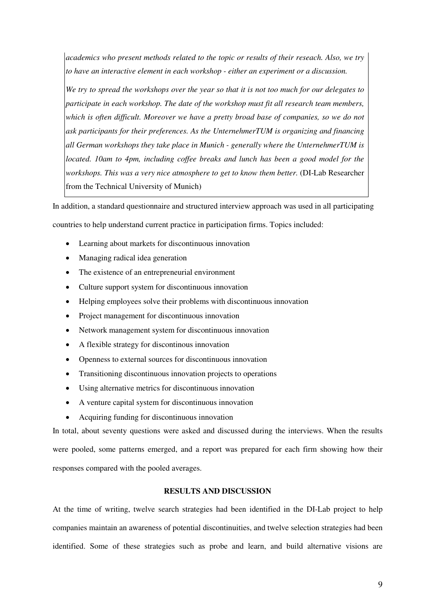*academics who present methods related to the topic or results of their reseach. Also, we try to have an interactive element in each workshop - either an experiment or a discussion.*

*We try to spread the workshops over the year so that it is not too much for our delegates to participate in each workshop. The date of the workshop must fit all research team members, which is often difficult. Moreover we have a pretty broad base of companies, so we do not ask participants for their preferences. As the UnternehmerTUM is organizing and financing all German workshops they take place in Munich - generally where the UnternehmerTUM is located. 10am to 4pm, including coffee breaks and lunch has been a good model for the workshops. This was a very nice atmosphere to get to know them better.* (DI-Lab Researcher from the Technical University of Munich)

In addition, a standard questionnaire and structured interview approach was used in all participating

countries to help understand current practice in participation firms. Topics included:

- Learning about markets for discontinuous innovation
- Managing radical idea generation
- The existence of an entrepreneurial environment
- Culture support system for discontinuous innovation
- Helping employees solve their problems with discontinuous innovation
- Project management for discontinuous innovation
- Network management system for discontinuous innovation
- A flexible strategy for discontinous innovation
- Openness to external sources for discontinuous innovation
- Transitioning discontinuous innovation projects to operations
- Using alternative metrics for discontinuous innovation
- A venture capital system for discontinuous innovation
- Acquiring funding for discontinuous innovation

In total, about seventy questions were asked and discussed during the interviews. When the results were pooled, some patterns emerged, and a report was prepared for each firm showing how their responses compared with the pooled averages.

#### **RESULTS AND DISCUSSION**

At the time of writing, twelve search strategies had been identified in the DI-Lab project to help companies maintain an awareness of potential discontinuities, and twelve selection strategies had been identified. Some of these strategies such as probe and learn, and build alternative visions are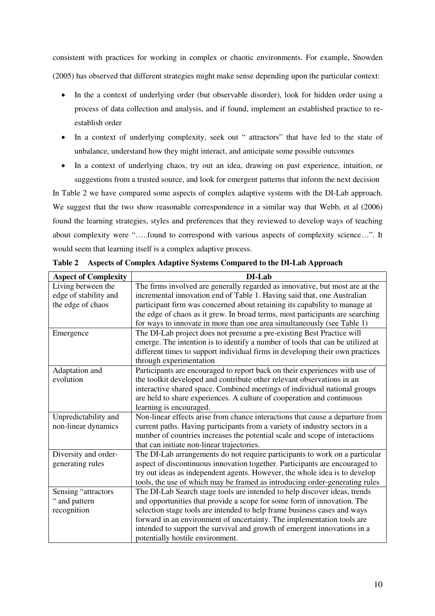consistent with practices for working in complex or chaotic environments. For example, Snowden (2005) has observed that different strategies might make sense depending upon the particular context:

- In the a context of underlying order (but observable disorder), look for hidden order using a process of data collection and analysis, and if found, implement an established practice to reestablish order
- In a context of underlying complexity, seek out " attractors" that have led to the state of unbalance, understand how they might interact, and anticipate some possible outcomes
- In a context of underlying chaos, try out an idea, drawing on past experience, intuition, or suggestions from a trusted source, and look for emergent patterns that inform the next decision

In Table 2 we have compared some aspects of complex adaptive systems with the DI-Lab approach. We suggest that the two show reasonable correspondence in a similar way that Webb, et al (2006) found the learning strategies, styles and preferences that they reviewed to develop ways of teaching about complexity were "…..found to correspond with various aspects of complexity science…". It would seem that learning itself is a complex adaptive process.

| <b>Aspect of Complexity</b> | DI-Lab                                                                         |
|-----------------------------|--------------------------------------------------------------------------------|
| Living between the          | The firms involved are generally regarded as innovative, but most are at the   |
| edge of stability and       | incremental innovation end of Table 1. Having said that, one Australian        |
| the edge of chaos           | participant firm was concerned about retaining its capability to manage at     |
|                             | the edge of chaos as it grew. In broad terms, most participants are searching  |
|                             | for ways to innovate in more than one area simultaneously (see Table 1)        |
| Emergence                   | The DI-Lab project does not presume a pre-existing Best Practice will          |
|                             | emerge. The intention is to identify a number of tools that can be utilized at |
|                             | different times to support individual firms in developing their own practices  |
|                             | through experimentation                                                        |
| Adaptation and              | Participants are encouraged to report back on their experiences with use of    |
| evolution                   | the toolkit developed and contribute other relevant observations in an         |
|                             | interactive shared space. Combined meetings of individual national groups      |
|                             | are held to share experiences. A culture of cooperation and continuous         |
|                             | learning is encouraged.                                                        |
| Unpredictability and        | Non-linear effects arise from chance interactions that cause a departure from  |
| non-linear dynamics         | current paths. Having participants from a variety of industry sectors in a     |
|                             | number of countries increases the potential scale and scope of interactions    |
|                             | that can initiate non-linear trajectories.                                     |
| Diversity and order-        | The DI-Lab arrangements do not require participants to work on a particular    |
| generating rules            | aspect of discontinuous innovation together. Participants are encouraged to    |
|                             | try out ideas as independent agents. However, the whole idea is to develop     |
|                             | tools, the use of which may be framed as introducing order-generating rules    |
| Sensing "attractors         | The DI-Lab Search stage tools are intended to help discover ideas, trends      |
| " and pattern               | and opportunities that provide a scope for some form of innovation. The        |
| recognition                 | selection stage tools are intended to help frame business cases and ways       |
|                             | forward in an environment of uncertainty. The implementation tools are         |
|                             | intended to support the survival and growth of emergent innovations in a       |
|                             | potentially hostile environment.                                               |

**Table 2 Aspects of Complex Adaptive Systems Compared to the DI-Lab Approach**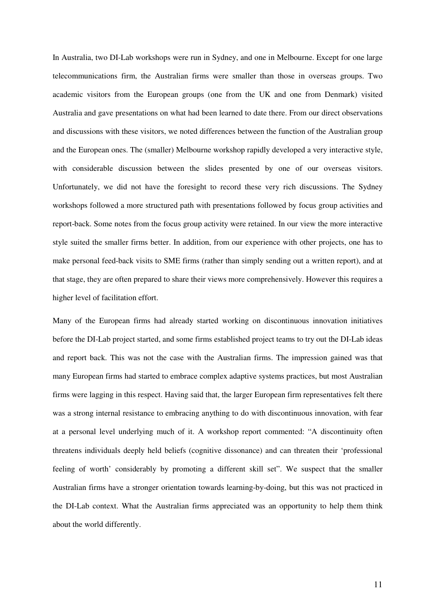In Australia, two DI-Lab workshops were run in Sydney, and one in Melbourne. Except for one large telecommunications firm, the Australian firms were smaller than those in overseas groups. Two academic visitors from the European groups (one from the UK and one from Denmark) visited Australia and gave presentations on what had been learned to date there. From our direct observations and discussions with these visitors, we noted differences between the function of the Australian group and the European ones. The (smaller) Melbourne workshop rapidly developed a very interactive style, with considerable discussion between the slides presented by one of our overseas visitors. Unfortunately, we did not have the foresight to record these very rich discussions. The Sydney workshops followed a more structured path with presentations followed by focus group activities and report-back. Some notes from the focus group activity were retained. In our view the more interactive style suited the smaller firms better. In addition, from our experience with other projects, one has to make personal feed-back visits to SME firms (rather than simply sending out a written report), and at that stage, they are often prepared to share their views more comprehensively. However this requires a higher level of facilitation effort.

Many of the European firms had already started working on discontinuous innovation initiatives before the DI-Lab project started, and some firms established project teams to try out the DI-Lab ideas and report back. This was not the case with the Australian firms. The impression gained was that many European firms had started to embrace complex adaptive systems practices, but most Australian firms were lagging in this respect. Having said that, the larger European firm representatives felt there was a strong internal resistance to embracing anything to do with discontinuous innovation, with fear at a personal level underlying much of it. A workshop report commented: "A discontinuity often threatens individuals deeply held beliefs (cognitive dissonance) and can threaten their 'professional feeling of worth' considerably by promoting a different skill set". We suspect that the smaller Australian firms have a stronger orientation towards learning-by-doing, but this was not practiced in the DI-Lab context. What the Australian firms appreciated was an opportunity to help them think about the world differently.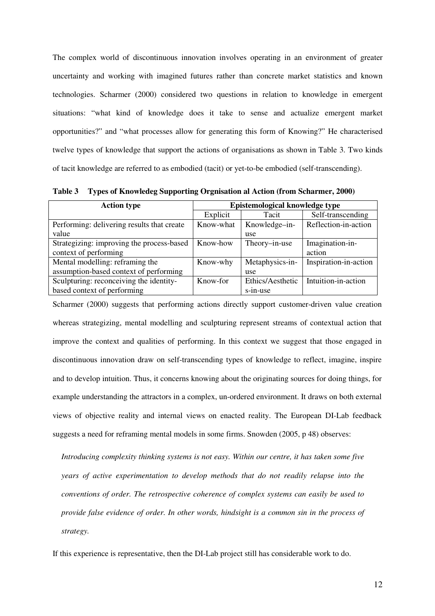The complex world of discontinuous innovation involves operating in an environment of greater uncertainty and working with imagined futures rather than concrete market statistics and known technologies. Scharmer (2000) considered two questions in relation to knowledge in emergent situations: "what kind of knowledge does it take to sense and actualize emergent market opportunities?" and "what processes allow for generating this form of Knowing?" He characterised twelve types of knowledge that support the actions of organisations as shown in Table 3. Two kinds of tacit knowledge are referred to as embodied (tacit) or yet-to-be embodied (self-transcending).

**Action type** <br>**Epistemological knowledge type** Explicit Tacit Self-transcending Performing: delivering results that create value Know-what | Knowledge–inuse Reflection-in-action Strategizing: improving the process-based context of performing Know-how Theory–in-use Imagination-inaction Mental modelling: reframing the assumption-based context of performing Know-why Metaphysics-inuse Inspiration-in-action Sculpturing: reconceiving the identitybased context of performing Know-for Ethics/Aesthetic s-in-use Intuition-in-action

**Table 3 Types of Knowledeg Supporting Orgnisation al Action (from Scharmer, 2000)** 

Scharmer (2000) suggests that performing actions directly support customer-driven value creation whereas strategizing, mental modelling and sculpturing represent streams of contextual action that improve the context and qualities of performing. In this context we suggest that those engaged in discontinuous innovation draw on self-transcending types of knowledge to reflect, imagine, inspire and to develop intuition. Thus, it concerns knowing about the originating sources for doing things, for example understanding the attractors in a complex, un-ordered environment. It draws on both external views of objective reality and internal views on enacted reality. The European DI-Lab feedback suggests a need for reframing mental models in some firms. Snowden (2005, p 48) observes:

*Introducing complexity thinking systems is not easy. Within our centre, it has taken some five years of active experimentation to develop methods that do not readily relapse into the conventions of order. The retrospective coherence of complex systems can easily be used to provide false evidence of order. In other words, hindsight is a common sin in the process of strategy.*

If this experience is representative, then the DI-Lab project still has considerable work to do.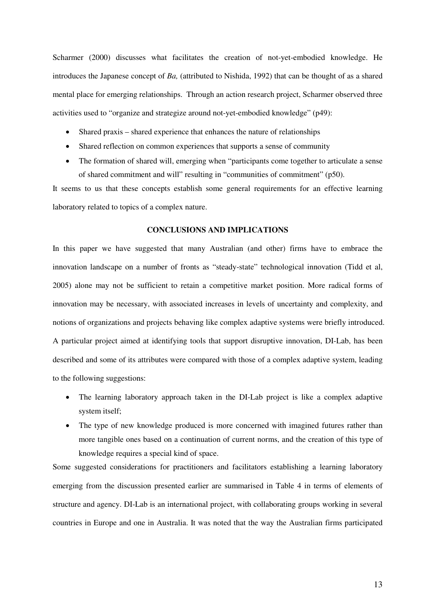Scharmer (2000) discusses what facilitates the creation of not-yet-embodied knowledge. He introduces the Japanese concept of *Ba,* (attributed to Nishida, 1992) that can be thought of as a shared mental place for emerging relationships. Through an action research project, Scharmer observed three activities used to "organize and strategize around not-yet-embodied knowledge" (p49):

- Shared praxis shared experience that enhances the nature of relationships
- Shared reflection on common experiences that supports a sense of community
- The formation of shared will, emerging when "participants come together to articulate a sense of shared commitment and will" resulting in "communities of commitment" (p50).

It seems to us that these concepts establish some general requirements for an effective learning laboratory related to topics of a complex nature.

### **CONCLUSIONS AND IMPLICATIONS**

In this paper we have suggested that many Australian (and other) firms have to embrace the innovation landscape on a number of fronts as "steady-state" technological innovation (Tidd et al, 2005) alone may not be sufficient to retain a competitive market position. More radical forms of innovation may be necessary, with associated increases in levels of uncertainty and complexity, and notions of organizations and projects behaving like complex adaptive systems were briefly introduced. A particular project aimed at identifying tools that support disruptive innovation, DI-Lab, has been described and some of its attributes were compared with those of a complex adaptive system, leading to the following suggestions:

- The learning laboratory approach taken in the DI-Lab project is like a complex adaptive system itself;
- The type of new knowledge produced is more concerned with imagined futures rather than more tangible ones based on a continuation of current norms, and the creation of this type of knowledge requires a special kind of space.

Some suggested considerations for practitioners and facilitators establishing a learning laboratory emerging from the discussion presented earlier are summarised in Table 4 in terms of elements of structure and agency. DI-Lab is an international project, with collaborating groups working in several countries in Europe and one in Australia. It was noted that the way the Australian firms participated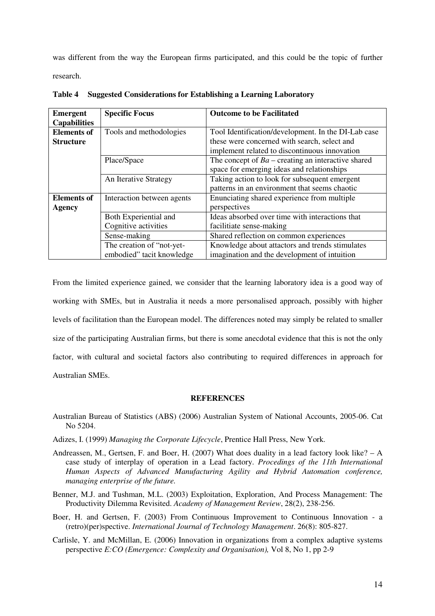was different from the way the European firms participated, and this could be the topic of further research.

| Emergent            | <b>Specific Focus</b>      | <b>Outcome to be Facilitated</b>                     |
|---------------------|----------------------------|------------------------------------------------------|
| <b>Capabilities</b> |                            |                                                      |
| <b>Elements of</b>  | Tools and methodologies    | Tool Identification/development. In the DI-Lab case  |
| <b>Structure</b>    |                            | these were concerned with search, select and         |
|                     |                            | implement related to discontinuous innovation        |
|                     | Place/Space                | The concept of $Ba$ – creating an interactive shared |
|                     |                            | space for emerging ideas and relationships           |
|                     | An Iterative Strategy      | Taking action to look for subsequent emergent        |
|                     |                            | patterns in an environment that seems chaotic        |
| <b>Elements of</b>  | Interaction between agents | Enunciating shared experience from multiple          |
| <b>Agency</b>       |                            | perspectives                                         |
|                     | Both Experiential and      | Ideas absorbed over time with interactions that      |
|                     | Cognitive activities       | facilitiate sense-making                             |
|                     | Sense-making               | Shared reflection on common experiences              |
|                     | The creation of "not-yet-  | Knowledge about attactors and trends stimulates      |
|                     | embodied" tacit knowledge  | imagination and the development of intuition         |

**Table 4 Suggested Considerations for Establishing a Learning Laboratory** 

From the limited experience gained, we consider that the learning laboratory idea is a good way of working with SMEs, but in Australia it needs a more personalised approach, possibly with higher levels of facilitation than the European model. The differences noted may simply be related to smaller size of the participating Australian firms, but there is some anecdotal evidence that this is not the only factor, with cultural and societal factors also contributing to required differences in approach for Australian SMEs.

## **REFERENCES**

- Australian Bureau of Statistics (ABS) (2006) Australian System of National Accounts, 2005-06. Cat No 5204.
- Adizes, I. (1999) *Managing the Corporate Lifecycle*, Prentice Hall Press, New York.
- Andreassen, M., Gertsen, F. and Boer, H. (2007) What does duality in a lead factory look like?  $A$ case study of interplay of operation in a Lead factory. *Procedings of the 11th International Human Aspects of Advanced Manufacturing Agility and Hybrid Automation conference, managing enterprise of the future.*
- Benner, M.J. and Tushman, M.L. (2003) Exploitation, Exploration, And Process Management: The Productivity Dilemma Revisited. *Academy of Management Review*, 28(2), 238-256.
- Boer, H. and Gertsen, F. (2003) From Continuous Improvement to Continuous Innovation a (retro)(per)spective. *International Journal of Technology Management*. 26(8): 805-827.
- Carlisle, Y. and McMillan, E. (2006) Innovation in organizations from a complex adaptive systems perspective *E:CO (Emergence: Complexity and Organisation),* Vol 8, No 1, pp 2-9